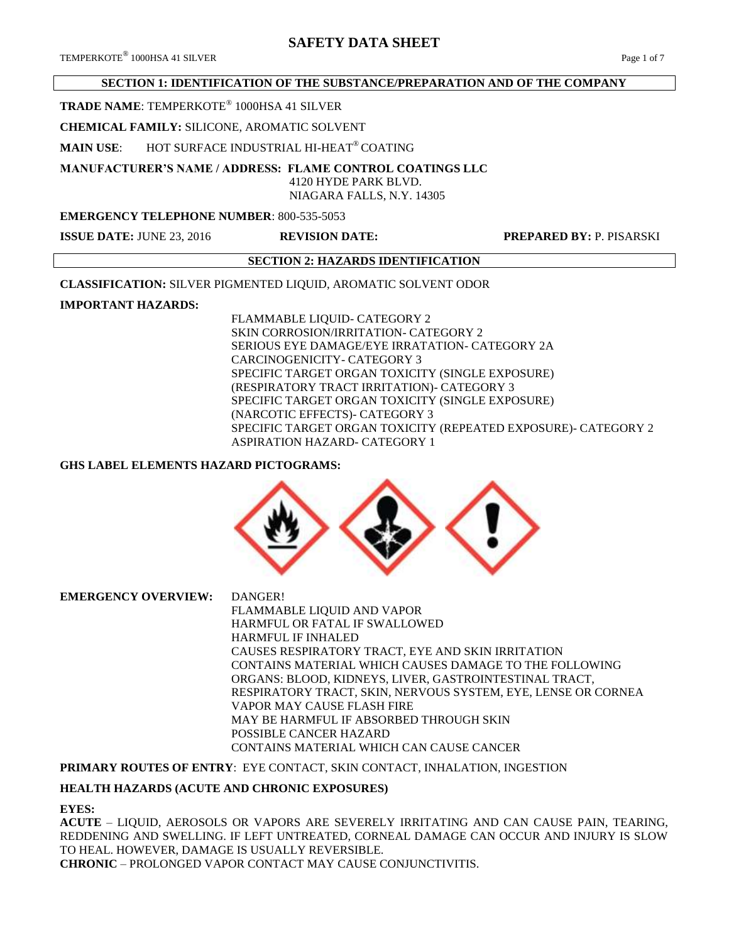## **SECTION 1: IDENTIFICATION OF THE SUBSTANCE/PREPARATION AND OF THE COMPANY**

## **TRADE NAME**: TEMPERKOTE® 1000HSA 41 SILVER

## **CHEMICAL FAMILY:** SILICONE, AROMATIC SOLVENT

**MAIN USE**: HOT SURFACE INDUSTRIAL HI-HEAT® COATING

**MANUFACTURER'S NAME / ADDRESS: FLAME CONTROL COATINGS LLC**

4120 HYDE PARK BLVD.

NIAGARA FALLS, N.Y. 14305

## **EMERGENCY TELEPHONE NUMBER**: 800-535-5053

**ISSUE DATE:** JUNE 23, 2016 **REVISION DATE: PREPARED BY:** P. PISARSKI

## **SECTION 2: HAZARDS IDENTIFICATION**

**CLASSIFICATION:** SILVER PIGMENTED LIQUID, AROMATIC SOLVENT ODOR

## **IMPORTANT HAZARDS:**

FLAMMABLE LIQUID- CATEGORY 2 SKIN CORROSION/IRRITATION- CATEGORY 2 SERIOUS EYE DAMAGE/EYE IRRATATION- CATEGORY 2A CARCINOGENICITY- CATEGORY 3 SPECIFIC TARGET ORGAN TOXICITY (SINGLE EXPOSURE) (RESPIRATORY TRACT IRRITATION)- CATEGORY 3 SPECIFIC TARGET ORGAN TOXICITY (SINGLE EXPOSURE) (NARCOTIC EFFECTS)- CATEGORY 3 SPECIFIC TARGET ORGAN TOXICITY (REPEATED EXPOSURE)- CATEGORY 2 ASPIRATION HAZARD- CATEGORY 1

## **GHS LABEL ELEMENTS HAZARD PICTOGRAMS:**



**EMERGENCY OVERVIEW:** DANGER! FLAMMABLE LIQUID AND VAPOR HARMFUL OR FATAL IF SWALLOWED HARMFUL IF INHALED CAUSES RESPIRATORY TRACT, EYE AND SKIN IRRITATION CONTAINS MATERIAL WHICH CAUSES DAMAGE TO THE FOLLOWING ORGANS: BLOOD, KIDNEYS, LIVER, GASTROINTESTINAL TRACT, RESPIRATORY TRACT, SKIN, NERVOUS SYSTEM, EYE, LENSE OR CORNEA VAPOR MAY CAUSE FLASH FIRE MAY BE HARMFUL IF ABSORBED THROUGH SKIN POSSIBLE CANCER HAZARD CONTAINS MATERIAL WHICH CAN CAUSE CANCER

## **PRIMARY ROUTES OF ENTRY**: EYE CONTACT, SKIN CONTACT, INHALATION, INGESTION

## **HEALTH HAZARDS (ACUTE AND CHRONIC EXPOSURES)**

## **EYES:**

**ACUTE** – LIQUID, AEROSOLS OR VAPORS ARE SEVERELY IRRITATING AND CAN CAUSE PAIN, TEARING, REDDENING AND SWELLING. IF LEFT UNTREATED, CORNEAL DAMAGE CAN OCCUR AND INJURY IS SLOW TO HEAL. HOWEVER, DAMAGE IS USUALLY REVERSIBLE. **CHRONIC** – PROLONGED VAPOR CONTACT MAY CAUSE CONJUNCTIVITIS.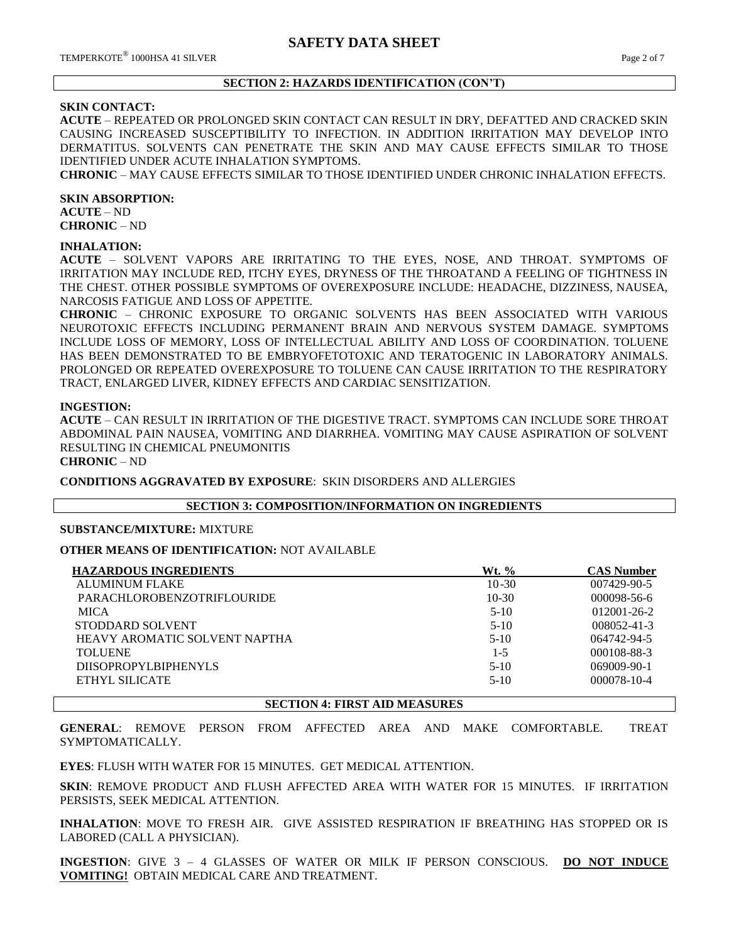## **SECTION 2: HAZARDS IDENTIFICATION (CON'T)**

### **SKIN CONTACT:**

**ACUTE** – REPEATED OR PROLONGED SKIN CONTACT CAN RESULT IN DRY, DEFATTED AND CRACKED SKIN CAUSING INCREASED SUSCEPTIBILITY TO INFECTION. IN ADDITION IRRITATION MAY DEVELOP INTO DERMATITUS. SOLVENTS CAN PENETRATE THE SKIN AND MAY CAUSE EFFECTS SIMILAR TO THOSE IDENTIFIED UNDER ACUTE INHALATION SYMPTOMS.

**CHRONIC** – MAY CAUSE EFFECTS SIMILAR TO THOSE IDENTIFIED UNDER CHRONIC INHALATION EFFECTS.

**SKIN ABSORPTION: ACUTE** – ND

**CHRONIC** – ND

## **INHALATION:**

**ACUTE** – SOLVENT VAPORS ARE IRRITATING TO THE EYES, NOSE, AND THROAT. SYMPTOMS OF IRRITATION MAY INCLUDE RED, ITCHY EYES, DRYNESS OF THE THROATAND A FEELING OF TIGHTNESS IN THE CHEST. OTHER POSSIBLE SYMPTOMS OF OVEREXPOSURE INCLUDE: HEADACHE, DIZZINESS, NAUSEA, NARCOSIS FATIGUE AND LOSS OF APPETITE.

**CHRONIC** – CHRONIC EXPOSURE TO ORGANIC SOLVENTS HAS BEEN ASSOCIATED WITH VARIOUS NEUROTOXIC EFFECTS INCLUDING PERMANENT BRAIN AND NERVOUS SYSTEM DAMAGE. SYMPTOMS INCLUDE LOSS OF MEMORY, LOSS OF INTELLECTUAL ABILITY AND LOSS OF COORDINATION. TOLUENE HAS BEEN DEMONSTRATED TO BE EMBRYOFETOTOXIC AND TERATOGENIC IN LABORATORY ANIMALS. PROLONGED OR REPEATED OVEREXPOSURE TO TOLUENE CAN CAUSE IRRITATION TO THE RESPIRATORY TRACT, ENLARGED LIVER, KIDNEY EFFECTS AND CARDIAC SENSITIZATION.

### **INGESTION:**

**ACUTE** – CAN RESULT IN IRRITATION OF THE DIGESTIVE TRACT. SYMPTOMS CAN INCLUDE SORE THROAT ABDOMINAL PAIN NAUSEA, VOMITING AND DIARRHEA. VOMITING MAY CAUSE ASPIRATION OF SOLVENT RESULTING IN CHEMICAL PNEUMONITIS

**CHRONIC** – ND

**CONDITIONS AGGRAVATED BY EXPOSURE**: SKIN DISORDERS AND ALLERGIES

## **SECTION 3: COMPOSITION/INFORMATION ON INGREDIENTS**

## **SUBSTANCE/MIXTURE:** MIXTURE

## **OTHER MEANS OF IDENTIFICATION:** NOT AVAILABLE

| <b>HAZARDOUS INGREDIENTS</b>      | Wt. %     | <b>CAS Number</b> |
|-----------------------------------|-----------|-------------------|
| <b>ALUMINUM FLAKE</b>             | $10 - 30$ | 007429-90-5       |
| <b>PARACHLOROBENZOTRIFLOURIDE</b> | $10-30$   | $000098 - 56 - 6$ |
| <b>MICA</b>                       | $5-10$    | $012001 - 26 - 2$ |
| STODDARD SOLVENT                  | $5-10$    | $008052 - 41 - 3$ |
| HEAVY AROMATIC SOLVENT NAPTHA     | $5-10$    | 064742-94-5       |
| TOLUENE                           | $1 - 5$   | 000108-88-3       |
| <b>DIISOPROPYLBIPHENYLS</b>       | $5-10$    | 069009-90-1       |
| ETHYL SILICATE                    | $5-10$    | 000078-10-4       |
|                                   |           |                   |

**SECTION 4: FIRST AID MEASURES**

**GENERAL**: REMOVE PERSON FROM AFFECTED AREA AND MAKE COMFORTABLE. TREAT SYMPTOMATICALLY.

**EYES**: FLUSH WITH WATER FOR 15 MINUTES. GET MEDICAL ATTENTION.

**SKIN**: REMOVE PRODUCT AND FLUSH AFFECTED AREA WITH WATER FOR 15 MINUTES. IF IRRITATION PERSISTS, SEEK MEDICAL ATTENTION.

**INHALATION**: MOVE TO FRESH AIR. GIVE ASSISTED RESPIRATION IF BREATHING HAS STOPPED OR IS LABORED (CALL A PHYSICIAN).

**INGESTION**: GIVE 3 – 4 GLASSES OF WATER OR MILK IF PERSON CONSCIOUS. **DO NOT INDUCE VOMITING!** OBTAIN MEDICAL CARE AND TREATMENT.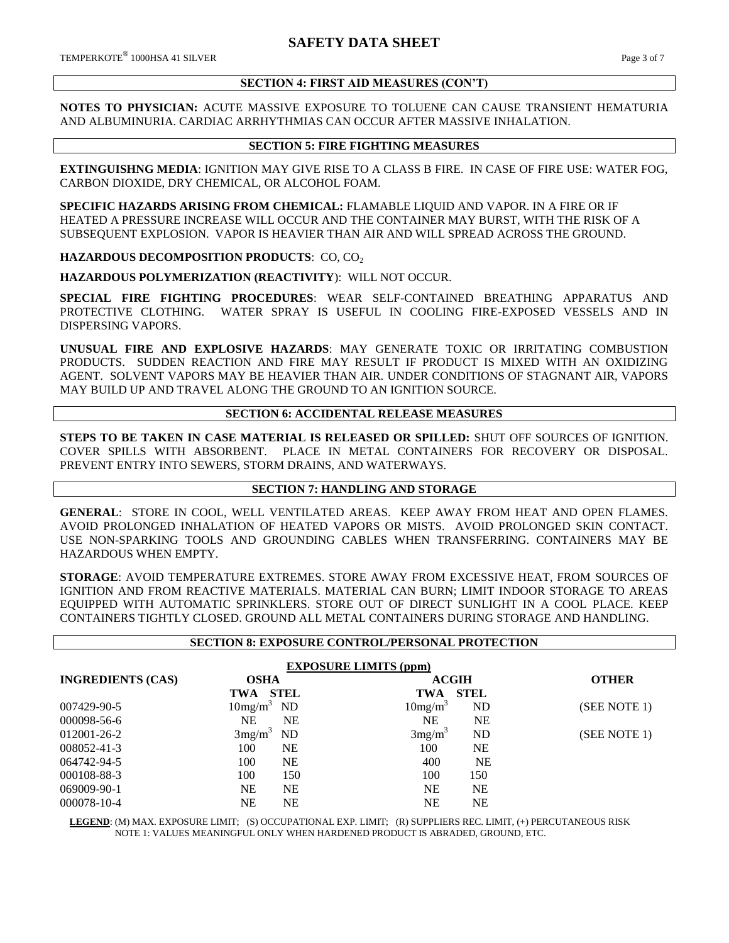## **SECTION 4: FIRST AID MEASURES (CON'T)**

**NOTES TO PHYSICIAN:** ACUTE MASSIVE EXPOSURE TO TOLUENE CAN CAUSE TRANSIENT HEMATURIA AND ALBUMINURIA. CARDIAC ARRHYTHMIAS CAN OCCUR AFTER MASSIVE INHALATION.

## **SECTION 5: FIRE FIGHTING MEASURES**

**EXTINGUISHNG MEDIA**: IGNITION MAY GIVE RISE TO A CLASS B FIRE. IN CASE OF FIRE USE: WATER FOG, CARBON DIOXIDE, DRY CHEMICAL, OR ALCOHOL FOAM.

**SPECIFIC HAZARDS ARISING FROM CHEMICAL:** FLAMABLE LIQUID AND VAPOR. IN A FIRE OR IF HEATED A PRESSURE INCREASE WILL OCCUR AND THE CONTAINER MAY BURST, WITH THE RISK OF A SUBSEQUENT EXPLOSION. VAPOR IS HEAVIER THAN AIR AND WILL SPREAD ACROSS THE GROUND.

**HAZARDOUS DECOMPOSITION PRODUCTS: CO, CO<sub>2</sub>** 

**HAZARDOUS POLYMERIZATION (REACTIVITY**): WILL NOT OCCUR.

**SPECIAL FIRE FIGHTING PROCEDURES**: WEAR SELF-CONTAINED BREATHING APPARATUS AND PROTECTIVE CLOTHING. WATER SPRAY IS USEFUL IN COOLING FIRE-EXPOSED VESSELS AND IN DISPERSING VAPORS.

**UNUSUAL FIRE AND EXPLOSIVE HAZARDS**: MAY GENERATE TOXIC OR IRRITATING COMBUSTION PRODUCTS. SUDDEN REACTION AND FIRE MAY RESULT IF PRODUCT IS MIXED WITH AN OXIDIZING AGENT. SOLVENT VAPORS MAY BE HEAVIER THAN AIR. UNDER CONDITIONS OF STAGNANT AIR, VAPORS MAY BUILD UP AND TRAVEL ALONG THE GROUND TO AN IGNITION SOURCE.

## **SECTION 6: ACCIDENTAL RELEASE MEASURES**

**STEPS TO BE TAKEN IN CASE MATERIAL IS RELEASED OR SPILLED:** SHUT OFF SOURCES OF IGNITION. COVER SPILLS WITH ABSORBENT. PLACE IN METAL CONTAINERS FOR RECOVERY OR DISPOSAL. PREVENT ENTRY INTO SEWERS, STORM DRAINS, AND WATERWAYS.

## **SECTION 7: HANDLING AND STORAGE**

**GENERAL**: STORE IN COOL, WELL VENTILATED AREAS. KEEP AWAY FROM HEAT AND OPEN FLAMES. AVOID PROLONGED INHALATION OF HEATED VAPORS OR MISTS. AVOID PROLONGED SKIN CONTACT. USE NON-SPARKING TOOLS AND GROUNDING CABLES WHEN TRANSFERRING. CONTAINERS MAY BE HAZARDOUS WHEN EMPTY.

**STORAGE**: AVOID TEMPERATURE EXTREMES. STORE AWAY FROM EXCESSIVE HEAT, FROM SOURCES OF IGNITION AND FROM REACTIVE MATERIALS. MATERIAL CAN BURN; LIMIT INDOOR STORAGE TO AREAS EQUIPPED WITH AUTOMATIC SPRINKLERS. STORE OUT OF DIRECT SUNLIGHT IN A COOL PLACE. KEEP CONTAINERS TIGHTLY CLOSED. GROUND ALL METAL CONTAINERS DURING STORAGE AND HANDLING.

| <b>SECTION 8: EXPOSURE CONTROL/PERSONAL PROTECTION</b> |                     |             |                     |              |              |  |
|--------------------------------------------------------|---------------------|-------------|---------------------|--------------|--------------|--|
| <b>EXPOSURE LIMITS (ppm)</b>                           |                     |             |                     |              |              |  |
| <b>INGREDIENTS (CAS)</b>                               | <b>OSHA</b>         |             |                     | <b>ACGIH</b> | <b>OTHER</b> |  |
|                                                        | TWA                 | <b>STEL</b> | <b>TWA</b>          | <b>STEL</b>  |              |  |
| 007429-90-5                                            | 10mg/m <sup>3</sup> | <b>ND</b>   | 10mg/m <sup>3</sup> | ND           | (SEE NOTE 1) |  |
| 000098-56-6                                            | <b>NE</b>           | <b>NE</b>   | <b>NE</b>           | <b>NE</b>    |              |  |
| 012001-26-2                                            | 3mg/m <sup>3</sup>  | ND          | 3mg/m <sup>3</sup>  | ND           | (SEE NOTE 1) |  |
| 008052-41-3                                            | 100                 | <b>NE</b>   | 100                 | <b>NE</b>    |              |  |
| 064742-94-5                                            | 100                 | <b>NE</b>   | 400                 | <b>NE</b>    |              |  |
| 000108-88-3                                            | 100                 | 150         | 100                 | 150          |              |  |
| 069009-90-1                                            | NE                  | <b>NE</b>   | <b>NE</b>           | NE           |              |  |
| 000078-10-4                                            | NΕ                  | NE          | NΕ                  | <b>NE</b>    |              |  |

 **LEGEND**: (M) MAX. EXPOSURE LIMIT; (S) OCCUPATIONAL EXP. LIMIT; (R) SUPPLIERS REC. LIMIT, (+) PERCUTANEOUS RISK NOTE 1: VALUES MEANINGFUL ONLY WHEN HARDENED PRODUCT IS ABRADED, GROUND, ETC.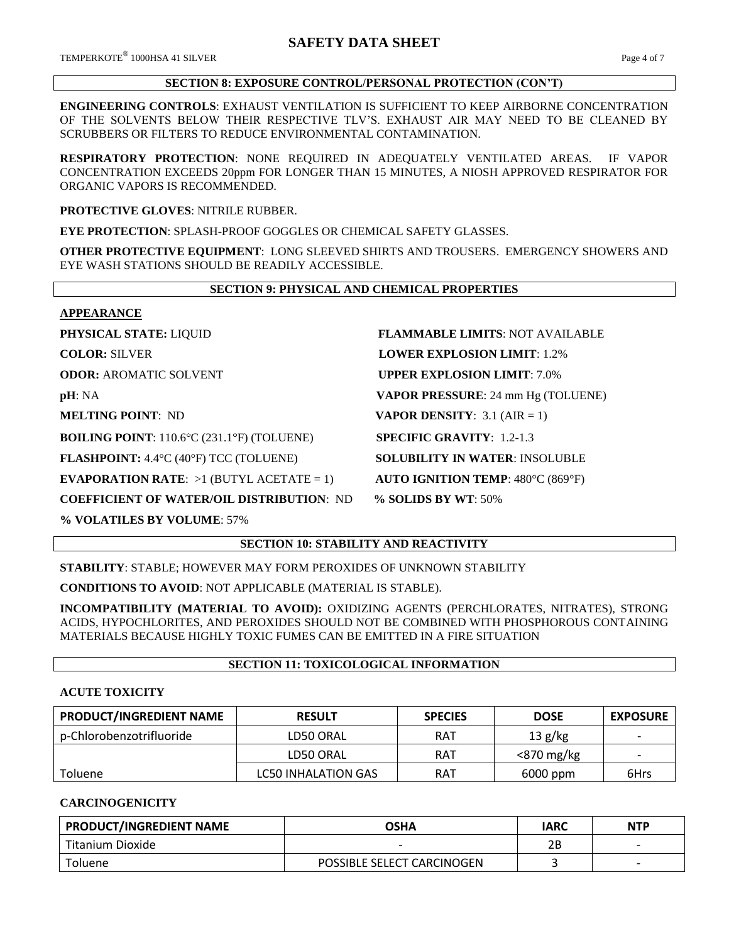## **SECTION 8: EXPOSURE CONTROL/PERSONAL PROTECTION (CON'T)**

**ENGINEERING CONTROLS**: EXHAUST VENTILATION IS SUFFICIENT TO KEEP AIRBORNE CONCENTRATION OF THE SOLVENTS BELOW THEIR RESPECTIVE TLV'S. EXHAUST AIR MAY NEED TO BE CLEANED BY SCRUBBERS OR FILTERS TO REDUCE ENVIRONMENTAL CONTAMINATION.

**RESPIRATORY PROTECTION**: NONE REQUIRED IN ADEQUATELY VENTILATED AREAS. IF VAPOR CONCENTRATION EXCEEDS 20ppm FOR LONGER THAN 15 MINUTES, A NIOSH APPROVED RESPIRATOR FOR ORGANIC VAPORS IS RECOMMENDED.

**PROTECTIVE GLOVES**: NITRILE RUBBER.

**EYE PROTECTION**: SPLASH-PROOF GOGGLES OR CHEMICAL SAFETY GLASSES.

**OTHER PROTECTIVE EQUIPMENT**: LONG SLEEVED SHIRTS AND TROUSERS. EMERGENCY SHOWERS AND EYE WASH STATIONS SHOULD BE READILY ACCESSIBLE.

## **SECTION 9: PHYSICAL AND CHEMICAL PROPERTIES**

**APPEARANCE**

**BOILING POINT**: 110.6°C (231.1°F) (TOLUENE) **SPECIFIC GRAVITY**: 1.2-1.3

**FLASHPOINT:** 4.4°C (40°F) TCC (TOLUENE) **SOLUBILITY IN WATER**: INSOLUBLE

**EVAPORATION RATE:**  $>1$  (BUTYL ACETATE = 1) **AUTO IGNITION TEMP**: 480°C (869°F)

**COEFFICIENT OF WATER/OIL DISTRIBUTION**: ND **% SOLIDS BY WT**: 50%

**% VOLATILES BY VOLUME**: 57%

**PHYSICAL STATE:** LIQUID **FLAMMABLE LIMITS**: NOT AVAILABLE **COLOR: SILVER <b>LOWER EXPLOSION LIMIT**: 1.2% **ODOR: AROMATIC SOLVENT <b>UPPER EXPLOSION LIMIT**: 7.0% **pH**: NA **VAPOR PRESSURE**: 24 mm Hg (TOLUENE) **MELTING POINT**: ND **VAPOR DENSITY**: 3.1 (AIR = 1)

# **SECTION 10: STABILITY AND REACTIVITY**

**STABILITY**: STABLE; HOWEVER MAY FORM PEROXIDES OF UNKNOWN STABILITY

**CONDITIONS TO AVOID**: NOT APPLICABLE (MATERIAL IS STABLE).

**INCOMPATIBILITY (MATERIAL TO AVOID):** OXIDIZING AGENTS (PERCHLORATES, NITRATES), STRONG ACIDS, HYPOCHLORITES, AND PEROXIDES SHOULD NOT BE COMBINED WITH PHOSPHOROUS CONTAINING MATERIALS BECAUSE HIGHLY TOXIC FUMES CAN BE EMITTED IN A FIRE SITUATION

## **SECTION 11: TOXICOLOGICAL INFORMATION**

## **ACUTE TOXICITY**

| PRODUCT/INGREDIENT NAME  | <b>RESULT</b>              | <b>SPECIES</b> | <b>DOSE</b> | <b>EXPOSURE</b>          |
|--------------------------|----------------------------|----------------|-------------|--------------------------|
| p-Chlorobenzotrifluoride | LD50 ORAL                  | RAT            | 13 g/kg     | $\overline{\phantom{a}}$ |
|                          | LD50 ORAL                  | RAT            | <870 mg/kg  |                          |
| <b>Toluene</b>           | <b>LC50 INHALATION GAS</b> | RAT            | 6000 ppm    | 6Hrs                     |

## **CARCINOGENICITY**

| <b>PRODUCT/INGREDIENT NAME</b> | <b>OSHA</b>                | <b>IARC</b> | <b>NTP</b> |
|--------------------------------|----------------------------|-------------|------------|
| Titanium Dioxide               |                            | חר          |            |
| Toluene                        | POSSIBLE SELECT CARCINOGEN |             |            |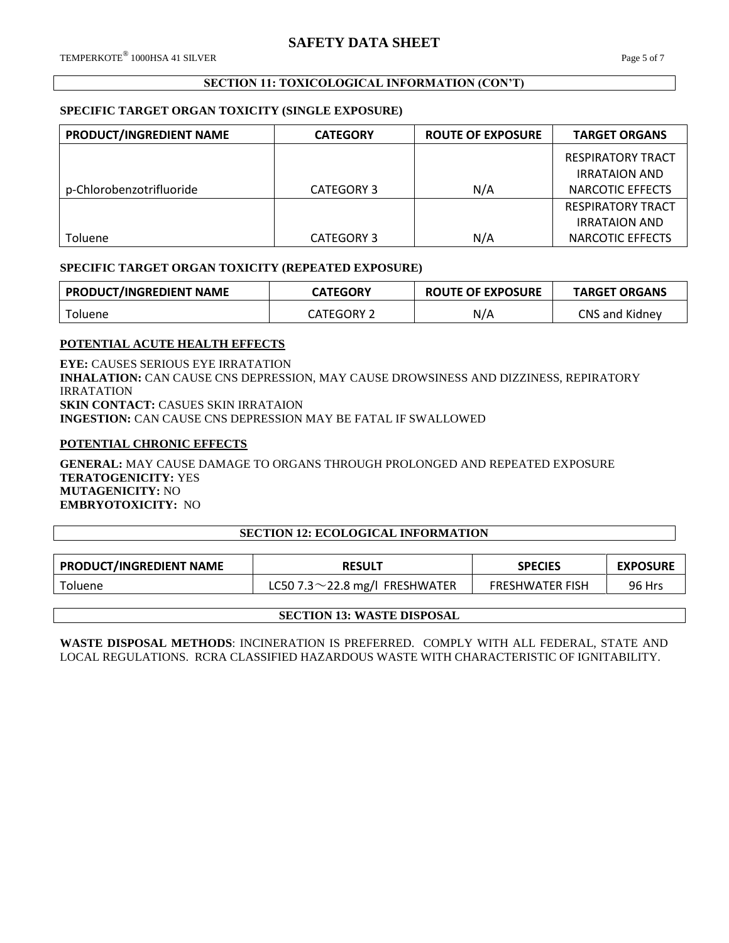## **SECTION 11: TOXICOLOGICAL INFORMATION (CON'T)**

## **SPECIFIC TARGET ORGAN TOXICITY (SINGLE EXPOSURE)**

| PRODUCT/INGREDIENT NAME  | <b>CATEGORY</b> | <b>ROUTE OF EXPOSURE</b> | <b>TARGET ORGANS</b>     |
|--------------------------|-----------------|--------------------------|--------------------------|
|                          |                 |                          | RESPIRATORY TRACT        |
|                          |                 |                          | <b>IRRATAION AND</b>     |
| p-Chlorobenzotrifluoride | CATEGORY 3      | N/A                      | NARCOTIC EFFECTS         |
|                          |                 |                          | <b>RESPIRATORY TRACT</b> |
|                          |                 |                          | <b>IRRATAION AND</b>     |
| Toluene                  | CATEGORY 3      | N/A                      | NARCOTIC EFFECTS         |

## **SPECIFIC TARGET ORGAN TOXICITY (REPEATED EXPOSURE)**

| <b>PRODUCT/INGREDIENT NAME</b> | <b>CATEGORY</b> | <b>ROUTE OF EXPOSURE</b> | <b>TARGET ORGANS</b>  |
|--------------------------------|-----------------|--------------------------|-----------------------|
| Toluene                        | CATEGORY :      | N/A                      | <b>CNS and Kidney</b> |

## **POTENTIAL ACUTE HEALTH EFFECTS**

**EYE:** CAUSES SERIOUS EYE IRRATATION **INHALATION:** CAN CAUSE CNS DEPRESSION, MAY CAUSE DROWSINESS AND DIZZINESS, REPIRATORY IRRATATION **SKIN CONTACT:** CASUES SKIN IRRATAION **INGESTION:** CAN CAUSE CNS DEPRESSION MAY BE FATAL IF SWALLOWED

## **POTENTIAL CHRONIC EFFECTS**

**GENERAL:** MAY CAUSE DAMAGE TO ORGANS THROUGH PROLONGED AND REPEATED EXPOSURE **TERATOGENICITY:** YES **MUTAGENICITY:** NO **EMBRYOTOXICITY:** NO

## **SECTION 12: ECOLOGICAL INFORMATION**

| <b>PRODUCT/INGREDIENT NAME</b><br><b>RESULT</b> |                                      | <b>SPECIES</b>         | <b>EXPOSURE</b> |
|-------------------------------------------------|--------------------------------------|------------------------|-----------------|
| Toluene                                         | LC50 7.3 $\sim$ 22.8 mg/l FRESHWATER | <b>FRESHWATER FISH</b> | <b>96 Hrs</b>   |

## **SECTION 13: WASTE DISPOSAL**

**WASTE DISPOSAL METHODS**: INCINERATION IS PREFERRED. COMPLY WITH ALL FEDERAL, STATE AND LOCAL REGULATIONS. RCRA CLASSIFIED HAZARDOUS WASTE WITH CHARACTERISTIC OF IGNITABILITY.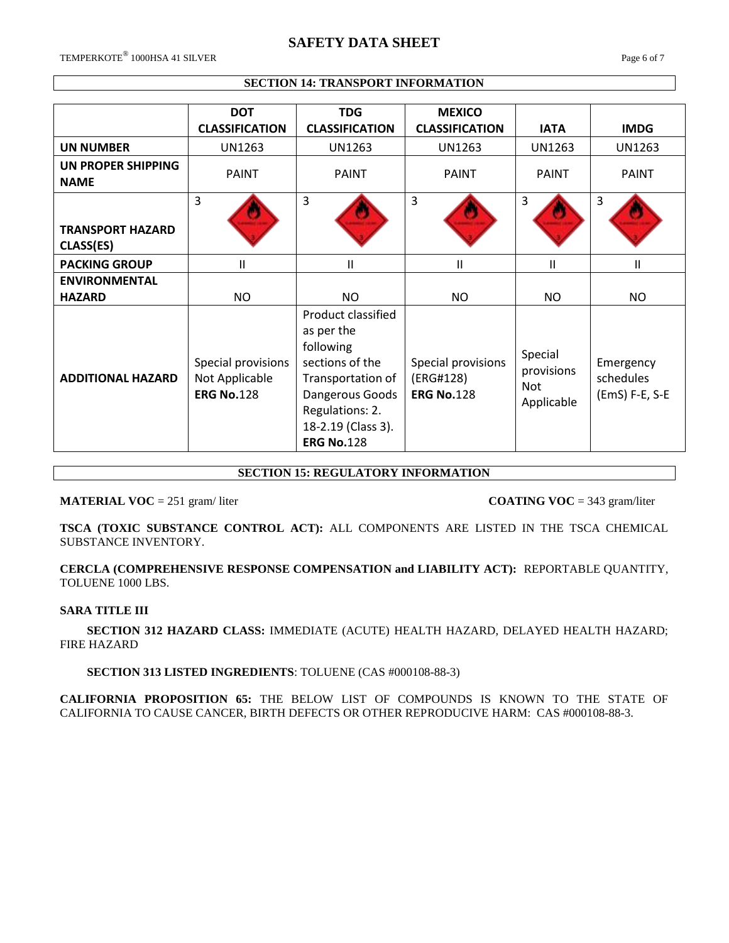## **SAFETY DATA SHEET**

 $\mathrm{TEMPERKOTE}^{\circledR}$  1000HSA 41 SILVER  $\qquad \qquad$  Page 6 of 7

## **SECTION 14: TRANSPORT INFORMATION**

|                                      | <b>DOT</b>                                                | <b>TDG</b>                                                                                                                                                             | <b>MEXICO</b>                                        |                                                   |                                          |
|--------------------------------------|-----------------------------------------------------------|------------------------------------------------------------------------------------------------------------------------------------------------------------------------|------------------------------------------------------|---------------------------------------------------|------------------------------------------|
|                                      | <b>CLASSIFICATION</b>                                     | <b>CLASSIFICATION</b>                                                                                                                                                  | <b>CLASSIFICATION</b>                                | <b>IATA</b>                                       | <b>IMDG</b>                              |
| <b>UN NUMBER</b>                     | <b>UN1263</b>                                             | <b>UN1263</b>                                                                                                                                                          | UN1263                                               | <b>UN1263</b>                                     | <b>UN1263</b>                            |
| UN PROPER SHIPPING<br><b>NAME</b>    | <b>PAINT</b>                                              | <b>PAINT</b>                                                                                                                                                           | <b>PAINT</b>                                         | <b>PAINT</b>                                      | <b>PAINT</b>                             |
| <b>TRANSPORT HAZARD</b><br>CLASS(ES) | 3                                                         | 3                                                                                                                                                                      | $\overline{3}$                                       | 3                                                 | 3                                        |
| <b>PACKING GROUP</b>                 | $\mathsf{II}$                                             | Ш                                                                                                                                                                      | Ш                                                    | Ш                                                 | Ш                                        |
| <b>ENVIRONMENTAL</b>                 |                                                           |                                                                                                                                                                        |                                                      |                                                   |                                          |
| <b>HAZARD</b>                        | NO.                                                       | NO.                                                                                                                                                                    | <b>NO</b>                                            | NO.                                               | NO.                                      |
| <b>ADDITIONAL HAZARD</b>             | Special provisions<br>Not Applicable<br><b>ERG No.128</b> | Product classified<br>as per the<br>following<br>sections of the<br>Transportation of<br>Dangerous Goods<br>Regulations: 2.<br>18-2.19 (Class 3).<br><b>ERG No.128</b> | Special provisions<br>(ERG#128)<br><b>ERG No.128</b> | Special<br>provisions<br><b>Not</b><br>Applicable | Emergency<br>schedules<br>(EmS) F-E, S-E |

## **SECTION 15: REGULATORY INFORMATION**

**MATERIAL VOC** = 251 gram/liter **COATING VOC** = 343 gram/liter

**TSCA (TOXIC SUBSTANCE CONTROL ACT):** ALL COMPONENTS ARE LISTED IN THE TSCA CHEMICAL SUBSTANCE INVENTORY.

**CERCLA (COMPREHENSIVE RESPONSE COMPENSATION and LIABILITY ACT):** REPORTABLE QUANTITY, TOLUENE 1000 LBS.

## **SARA TITLE III**

 **SECTION 312 HAZARD CLASS:** IMMEDIATE (ACUTE) HEALTH HAZARD, DELAYED HEALTH HAZARD; FIRE HAZARD

## **SECTION 313 LISTED INGREDIENTS**: TOLUENE (CAS #000108-88-3)

**CALIFORNIA PROPOSITION 65:** THE BELOW LIST OF COMPOUNDS IS KNOWN TO THE STATE OF CALIFORNIA TO CAUSE CANCER, BIRTH DEFECTS OR OTHER REPRODUCIVE HARM: CAS #000108-88-3.